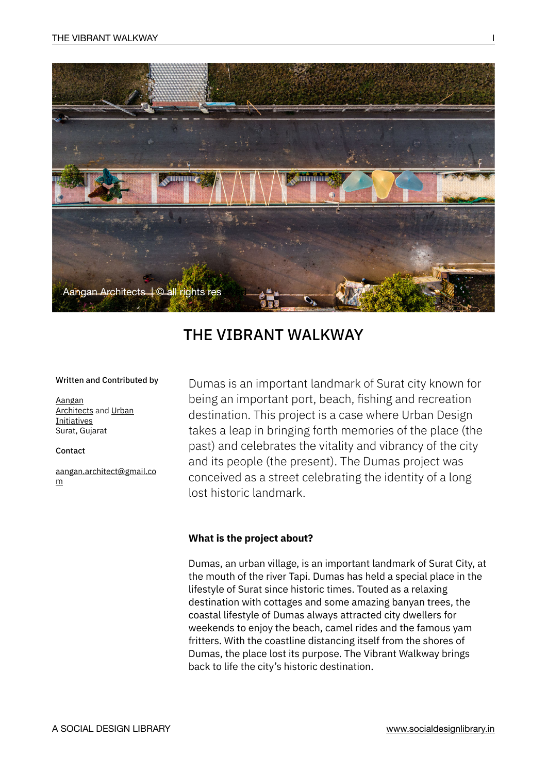

# THE VIBRANT WALKWAY

#### Written and Contributed by

[Aangan](http://www.aanganarchitects.org/)  **[Architects](http://www.aanganarchitects.org/) and Urban [Initiatives](https://www.facebook.com/Urban.Initiatives.surat)** Surat, Gujarat

Contact

[aangan.architect@gmail.co](mailto:aangan.architect@gmail.com) [m](mailto:aangan.architect@gmail.com)

Dumas is an important landmark of Surat city known for being an important port, beach, fishing and recreation destination. This project is a case where Urban Design takes a leap in bringing forth memories of the place (the past) and celebrates the vitality and vibrancy of the city and its people (the present). The Dumas project was conceived as a street celebrating the identity of a long lost historic landmark.

#### **What is the project about?**

Dumas, an urban village, is an important landmark of Surat City, at the mouth of the river Tapi. Dumas has held a special place in the lifestyle of Surat since historic times. Touted as a relaxing destination with cottages and some amazing banyan trees, the coastal lifestyle of Dumas always attracted city dwellers for weekends to enjoy the beach, camel rides and the famous yam fritters. With the coastline distancing itself from the shores of Dumas, the place lost its purpose. The Vibrant Walkway brings back to life the city's historic destination.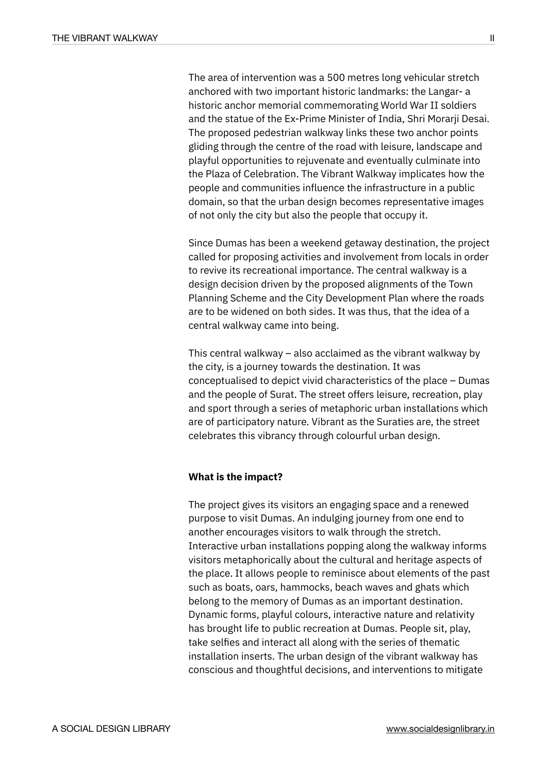The area of intervention was a 500 metres long vehicular stretch anchored with two important historic landmarks: the Langar- a historic anchor memorial commemorating World War II soldiers and the statue of the Ex-Prime Minister of India, Shri Morarji Desai. The proposed pedestrian walkway links these two anchor points gliding through the centre of the road with leisure, landscape and playful opportunities to rejuvenate and eventually culminate into the Plaza of Celebration. The Vibrant Walkway implicates how the people and communities influence the infrastructure in a public domain, so that the urban design becomes representative images of not only the city but also the people that occupy it.

Since Dumas has been a weekend getaway destination, the project called for proposing activities and involvement from locals in order to revive its recreational importance. The central walkway is a design decision driven by the proposed alignments of the Town Planning Scheme and the City Development Plan where the roads are to be widened on both sides. It was thus, that the idea of a central walkway came into being.

This central walkway – also acclaimed as the vibrant walkway by the city, is a journey towards the destination. It was conceptualised to depict vivid characteristics of the place – Dumas and the people of Surat. The street offers leisure, recreation, play and sport through a series of metaphoric urban installations which are of participatory nature. Vibrant as the Suraties are, the street celebrates this vibrancy through colourful urban design.

#### **What is the impact?**

The project gives its visitors an engaging space and a renewed purpose to visit Dumas. An indulging journey from one end to another encourages visitors to walk through the stretch. Interactive urban installations popping along the walkway informs visitors metaphorically about the cultural and heritage aspects of the place. It allows people to reminisce about elements of the past such as boats, oars, hammocks, beach waves and ghats which belong to the memory of Dumas as an important destination. Dynamic forms, playful colours, interactive nature and relativity has brought life to public recreation at Dumas. People sit, play, take selfies and interact all along with the series of thematic installation inserts. The urban design of the vibrant walkway has conscious and thoughtful decisions, and interventions to mitigate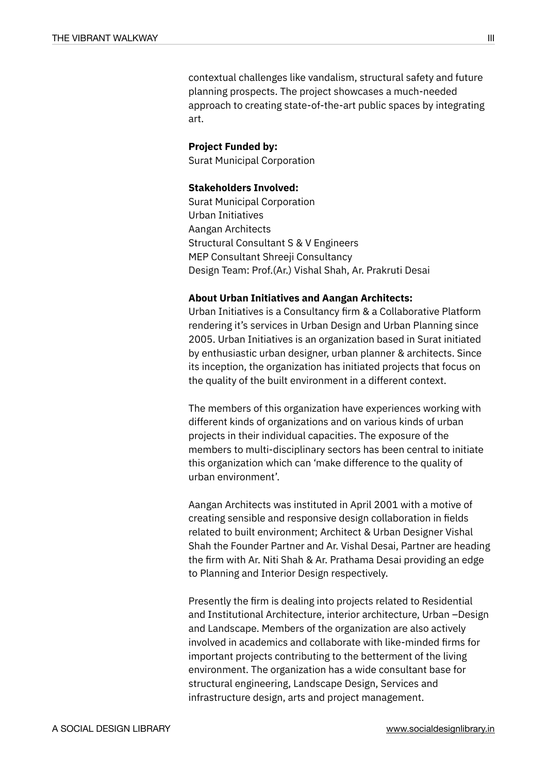contextual challenges like vandalism, structural safety and future planning prospects. The project showcases a much-needed approach to creating state-of-the-art public spaces by integrating art.

#### **Project Funded by:**

Surat Municipal Corporation

### **Stakeholders Involved:**

Surat Municipal Corporation Urban Initiatives Aangan Architects Structural Consultant S & V Engineers MEP Consultant Shreeji Consultancy Design Team: Prof.(Ar.) Vishal Shah, Ar. Prakruti Desai

#### **About Urban Initiatives and Aangan Architects:**

Urban Initiatives is a Consultancy firm & a Collaborative Platform rendering it's services in Urban Design and Urban Planning since 2005. Urban Initiatives is an organization based in Surat initiated by enthusiastic urban designer, urban planner & architects. Since its inception, the organization has initiated projects that focus on the quality of the built environment in a different context.

The members of this organization have experiences working with different kinds of organizations and on various kinds of urban projects in their individual capacities. The exposure of the members to multi-disciplinary sectors has been central to initiate this organization which can 'make difference to the quality of urban environment'.

Aangan Architects was instituted in April 2001 with a motive of creating sensible and responsive design collaboration in fields related to built environment; Architect & Urban Designer Vishal Shah the Founder Partner and Ar. Vishal Desai, Partner are heading the firm with Ar. Niti Shah & Ar. Prathama Desai providing an edge to Planning and Interior Design respectively.

Presently the firm is dealing into projects related to Residential and Institutional Architecture, interior architecture, Urban –Design and Landscape. Members of the organization are also actively involved in academics and collaborate with like-minded firms for important projects contributing to the betterment of the living environment. The organization has a wide consultant base for structural engineering, Landscape Design, Services and infrastructure design, arts and project management.